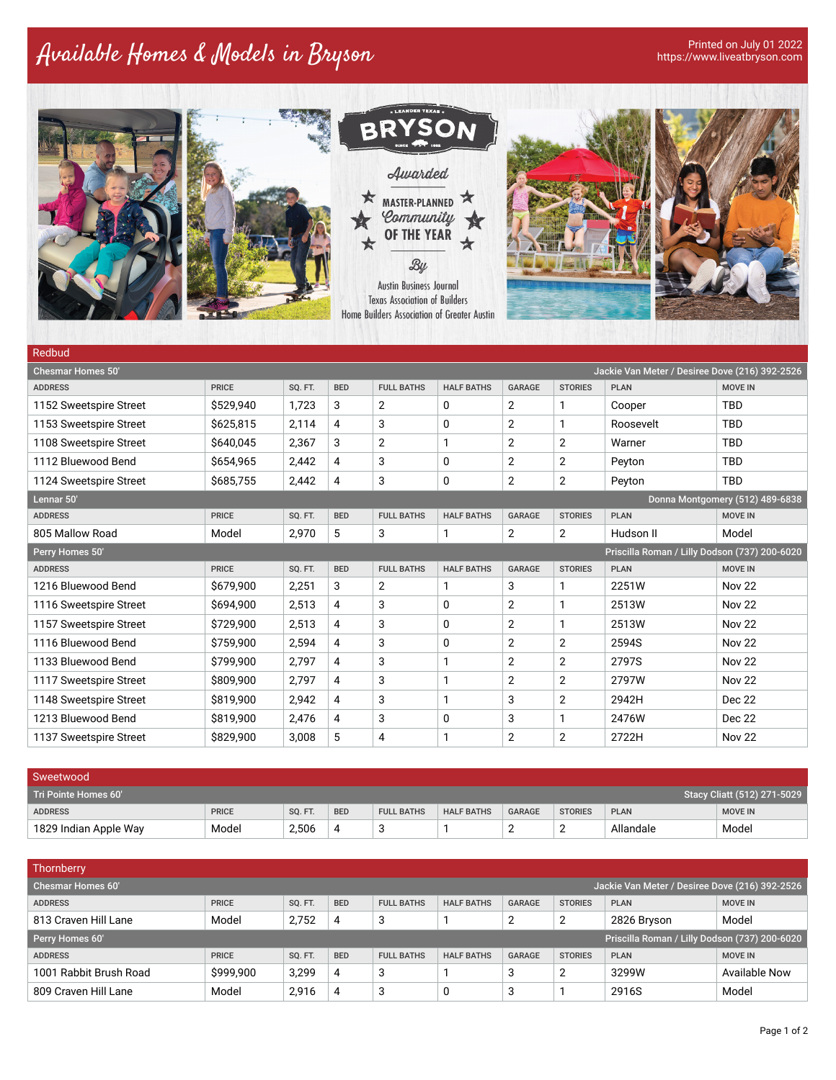## Available Homes & Models in Bryson Printed on July 01 2022



| <b>ADDRESS</b>                                                   | <b>PRICE</b> | SQ. FT. | <b>BED</b> | <b>FULL BATHS</b> | <b>HALF BATHS</b> | <b>GARAGE</b>  | <b>STORIES</b> | <b>PLAN</b> | <b>MOVE IN</b> |
|------------------------------------------------------------------|--------------|---------|------------|-------------------|-------------------|----------------|----------------|-------------|----------------|
| 1152 Sweetspire Street                                           | \$529,940    | 1,723   | 3          | $\overline{2}$    | 0                 | 2              | 1              | Cooper      | <b>TBD</b>     |
| 1153 Sweetspire Street                                           | \$625,815    | 2,114   | 4          | 3                 | 0                 | 2              | 1              | Roosevelt   | <b>TBD</b>     |
| 1108 Sweetspire Street                                           | \$640,045    | 2,367   | 3          | $\overline{2}$    | 1                 | 2              | $\overline{2}$ | Warner      | <b>TBD</b>     |
| 1112 Bluewood Bend                                               | \$654,965    | 2,442   | 4          | 3                 | 0                 | 2              | $\overline{2}$ | Peyton      | <b>TBD</b>     |
| 1124 Sweetspire Street                                           | \$685,755    | 2,442   | 4          | 3                 | 0                 | 2              | $\overline{2}$ | Peyton      | <b>TBD</b>     |
| Lennar 50'<br>Donna Montgomery (512) 489-6838                    |              |         |            |                   |                   |                |                |             |                |
| <b>ADDRESS</b>                                                   | <b>PRICE</b> | SQ. FT. | <b>BED</b> | <b>FULL BATHS</b> | <b>HALF BATHS</b> | <b>GARAGE</b>  | <b>STORIES</b> | <b>PLAN</b> | <b>MOVE IN</b> |
| 805 Mallow Road                                                  | Model        | 2,970   | 5          | 3                 | 1                 | $\overline{2}$ | $\overline{2}$ | Hudson II   | Model          |
| Priscilla Roman / Lilly Dodson (737) 200-6020<br>Perry Homes 50' |              |         |            |                   |                   |                |                |             |                |
| <b>ADDRESS</b>                                                   | <b>PRICE</b> | SQ. FT. | <b>BED</b> | <b>FULL BATHS</b> | <b>HALF BATHS</b> | <b>GARAGE</b>  | <b>STORIES</b> | <b>PLAN</b> | <b>MOVE IN</b> |
| 1216 Bluewood Bend                                               | \$679,900    | 2,251   | 3          | 2                 | 1                 | 3              | 1              | 2251W       | <b>Nov 22</b>  |
| 1116 Sweetspire Street                                           | \$694,900    | 2,513   | 4          | 3                 | 0                 | 2              | 1              | 2513W       | <b>Nov 22</b>  |
| 1157 Sweetspire Street                                           | \$729,900    | 2,513   | 4          | 3                 | 0                 | 2              | 1              | 2513W       | <b>Nov 22</b>  |
| 1116 Bluewood Bend                                               | \$759,900    | 2,594   | 4          | 3                 | 0                 | $\overline{2}$ | 2              | 2594S       | <b>Nov 22</b>  |
| 1133 Bluewood Bend                                               | \$799,900    | 2,797   | 4          | 3                 | 1                 | 2              | $\overline{2}$ | 2797S       | <b>Nov 22</b>  |
| 1117 Sweetspire Street                                           | \$809,900    | 2,797   | 4          | 3                 | 1                 | 2              | 2              | 2797W       | <b>Nov 22</b>  |
| 1148 Sweetspire Street                                           | \$819,900    | 2,942   | 4          | 3                 | 1                 | 3              | 2              | 2942H       | Dec 22         |
| 1213 Bluewood Bend                                               | \$819,900    | 2,476   | 4          | 3                 | 0                 | 3              | 1              | 2476W       | Dec 22         |
| 1137 Sweetspire Street                                           | \$829,900    | 3,008   | 5          | 4                 | 1                 | 2              | 2              | 2722H       | <b>Nov 22</b>  |

| Sweetwood                                           |              |                |            |                   |                   |               |                |             |                |
|-----------------------------------------------------|--------------|----------------|------------|-------------------|-------------------|---------------|----------------|-------------|----------------|
| Stacy Cliatt (512) 271-5029<br>Tri Pointe Homes 60' |              |                |            |                   |                   |               |                |             |                |
| <b>ADDRESS</b>                                      | <b>PRICE</b> | <b>SO. FT.</b> | <b>BED</b> | <b>FULL BATHS</b> | <b>HALF BATHS</b> | <b>GARAGE</b> | <b>STORIES</b> | <b>PLAN</b> | <b>MOVE IN</b> |
| 1829 Indian Apple Way                               | Model        | 2,506          |            | u                 |                   | _             |                | Allandale   | Model          |

| <b>Thornberry</b>                                                          |              |                |            |                   |                   |               |                |             |                |
|----------------------------------------------------------------------------|--------------|----------------|------------|-------------------|-------------------|---------------|----------------|-------------|----------------|
| <b>Chesmar Homes 60'</b><br>Jackie Van Meter / Desiree Dove (216) 392-2526 |              |                |            |                   |                   |               |                |             |                |
| <b>ADDRESS</b>                                                             | <b>PRICE</b> | <b>SO. FT.</b> | <b>BED</b> | <b>FULL BATHS</b> | <b>HALF BATHS</b> | <b>GARAGE</b> | <b>STORIES</b> | <b>PLAN</b> | <b>MOVE IN</b> |
| 813 Craven Hill Lane                                                       | Model        | 2.752          | 4          | 3                 |                   | 2             | っ<br>L         | 2826 Bryson | Model          |
| Priscilla Roman / Lilly Dodson (737) 200-6020<br>Perry Homes 60'           |              |                |            |                   |                   |               |                |             |                |
| <b>ADDRESS</b>                                                             | <b>PRICE</b> | SQ. FT.        | <b>BED</b> | <b>FULL BATHS</b> | <b>HALF BATHS</b> | <b>GARAGE</b> | <b>STORIES</b> | <b>PLAN</b> | <b>MOVE IN</b> |
| 1001 Rabbit Brush Road                                                     | \$999,900    | 3.299          | 4          | 3                 |                   | 3             | າ              | 3299W       | Available Now  |
| 809 Craven Hill Lane                                                       | Model        | 2.916          | 4          | 3                 | 0                 | 3             |                | 2916S       | Model          |